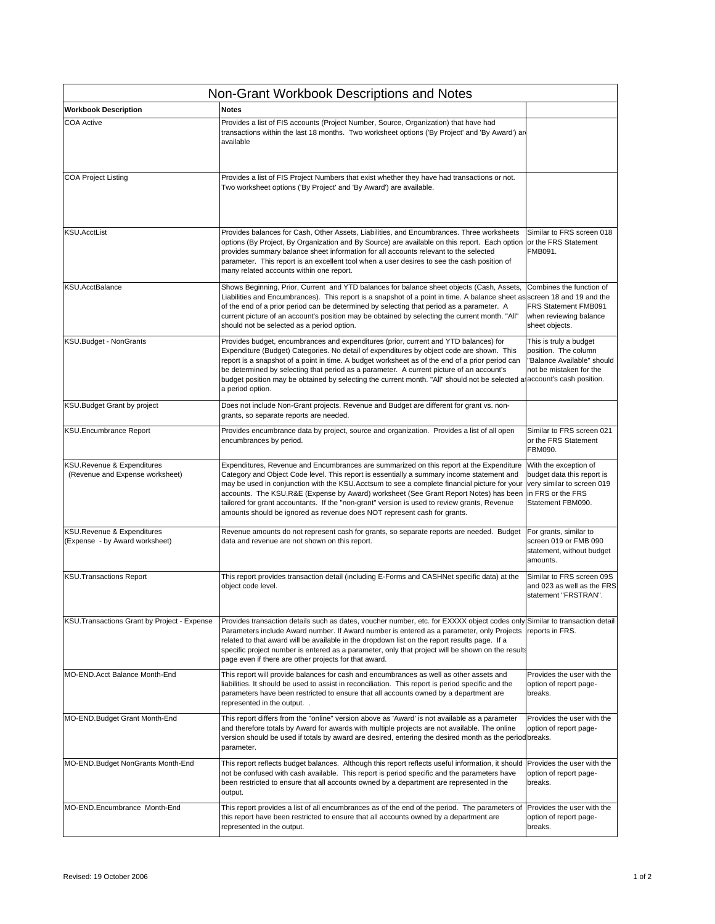| Non-Grant Workbook Descriptions and Notes                     |                                                                                                                                                                                                                                                                                                                                                                                                                                                                                                                                                          |                                                                                                                             |  |
|---------------------------------------------------------------|----------------------------------------------------------------------------------------------------------------------------------------------------------------------------------------------------------------------------------------------------------------------------------------------------------------------------------------------------------------------------------------------------------------------------------------------------------------------------------------------------------------------------------------------------------|-----------------------------------------------------------------------------------------------------------------------------|--|
| <b>Workbook Description</b>                                   | <b>Notes</b>                                                                                                                                                                                                                                                                                                                                                                                                                                                                                                                                             |                                                                                                                             |  |
| COA Active                                                    | Provides a list of FIS accounts (Project Number, Source, Organization) that have had<br>transactions within the last 18 months. Two worksheet options ('By Project' and 'By Award') ar<br>available                                                                                                                                                                                                                                                                                                                                                      |                                                                                                                             |  |
| <b>COA Project Listing</b>                                    | Provides a list of FIS Project Numbers that exist whether they have had transactions or not.<br>Two worksheet options ('By Project' and 'By Award') are available.                                                                                                                                                                                                                                                                                                                                                                                       |                                                                                                                             |  |
| <b>KSU.AcctList</b>                                           | Provides balances for Cash, Other Assets, Liabilities, and Encumbrances. Three worksheets<br>options (By Project, By Organization and By Source) are available on this report. Each option<br>provides summary balance sheet information for all accounts relevant to the selected<br>parameter. This report is an excellent tool when a user desires to see the cash position of<br>many related accounts within one report.                                                                                                                            | Similar to FRS screen 018<br>or the FRS Statement<br>FMB091.                                                                |  |
| <b>KSU.AcctBalance</b>                                        | Shows Beginning, Prior, Current and YTD balances for balance sheet objects (Cash, Assets,<br>Liabilities and Encumbrances). This report is a snapshot of a point in time. A balance sheet as screen 18 and 19 and the<br>of the end of a prior period can be determined by selecting that period as a parameter. A<br>current picture of an account's position may be obtained by selecting the current month. "All"<br>should not be selected as a period option.                                                                                       | Combines the function of<br>FRS Statement FMB091<br>when reviewing balance<br>sheet objects.                                |  |
| KSU.Budget - NonGrants                                        | Provides budget, encumbrances and expenditures (prior, current and YTD balances) for<br>Expenditure (Budget) Categories. No detail of expenditures by object code are shown. This<br>report is a snapshot of a point in time. A budget worksheet as of the end of a prior period can<br>be determined by selecting that period as a parameter. A current picture of an account's<br>budget position may be obtained by selecting the current month. "All" should not be selected a account's cash position.<br>a period option.                          | This is truly a budget<br>position. The column<br>'Balance Available" should<br>not be mistaken for the                     |  |
| KSU.Budget Grant by project                                   | Does not include Non-Grant projects. Revenue and Budget are different for grant vs. non-<br>grants, so separate reports are needed.                                                                                                                                                                                                                                                                                                                                                                                                                      |                                                                                                                             |  |
| KSU.Encumbrance Report                                        | Provides encumbrance data by project, source and organization. Provides a list of all open<br>encumbrances by period.                                                                                                                                                                                                                                                                                                                                                                                                                                    | Similar to FRS screen 021<br>or the FRS Statement<br>FBM090.                                                                |  |
| KSU.Revenue & Expenditures<br>(Revenue and Expense worksheet) | Expenditures, Revenue and Encumbrances are summarized on this report at the Expenditure<br>Category and Object Code level. This report is essentially a summary income statement and<br>may be used in conjunction with the KSU.Acctsum to see a complete financial picture for your<br>accounts. The KSU.R&E (Expense by Award) worksheet (See Grant Report Notes) has been<br>tailored for grant accountants. If the "non-grant" version is used to review grants, Revenue<br>amounts should be ignored as revenue does NOT represent cash for grants. | With the exception of<br>budget data this report is<br>very similar to screen 019<br>in FRS or the FRS<br>Statement FBM090. |  |
| KSU.Revenue & Expenditures<br>(Expense - by Award worksheet)  | Revenue amounts do not represent cash for grants, so separate reports are needed. Budget<br>data and revenue are not shown on this report.                                                                                                                                                                                                                                                                                                                                                                                                               | For grants, similar to<br>screen 019 or FMB 090<br>statement, without budget<br>amounts.                                    |  |
| <b>KSU.Transactions Report</b>                                | This report provides transaction detail (including E-Forms and CASHNet specific data) at the<br>object code level.                                                                                                                                                                                                                                                                                                                                                                                                                                       | Similar to FRS screen 09S<br>and 023 as well as the FRS<br>statement "FRSTRAN".                                             |  |
| KSU. Transactions Grant by Project - Expense                  | Provides transaction details such as dates, voucher number, etc. for EXXXX object codes only Similar to transaction detail<br>Parameters include Award number. If Award number is entered as a parameter, only Projects<br>related to that award will be available in the dropdown list on the report results page. If a<br>specific project number is entered as a parameter, only that project will be shown on the results<br>page even if there are other projects for that award.                                                                   | reports in FRS.                                                                                                             |  |
| MO-END.Acct Balance Month-End                                 | This report will provide balances for cash and encumbrances as well as other assets and<br>liabilities. It should be used to assist in reconciliation. This report is period specific and the<br>parameters have been restricted to ensure that all accounts owned by a department are<br>represented in the output                                                                                                                                                                                                                                      | Provides the user with the<br>option of report page-<br>breaks.                                                             |  |
| MO-END.Budget Grant Month-End                                 | This report differs from the "online" version above as 'Award' is not available as a parameter<br>and therefore totals by Award for awards with multiple projects are not available. The online<br>version should be used if totals by award are desired, entering the desired month as the period breaks.<br>parameter.                                                                                                                                                                                                                                 | Provides the user with the<br>option of report page-                                                                        |  |
| MO-END.Budget NonGrants Month-End                             | This report reflects budget balances. Although this report reflects useful information, it should Provides the user with the<br>not be confused with cash available. This report is period specific and the parameters have<br>been restricted to ensure that all accounts owned by a department are represented in the<br>output.                                                                                                                                                                                                                       | option of report page-<br>breaks.                                                                                           |  |
| MO-END.Encumbrance Month-End                                  | This report provides a list of all encumbrances as of the end of the period. The parameters of<br>this report have been restricted to ensure that all accounts owned by a department are<br>represented in the output.                                                                                                                                                                                                                                                                                                                                   | Provides the user with the<br>option of report page-<br>breaks.                                                             |  |